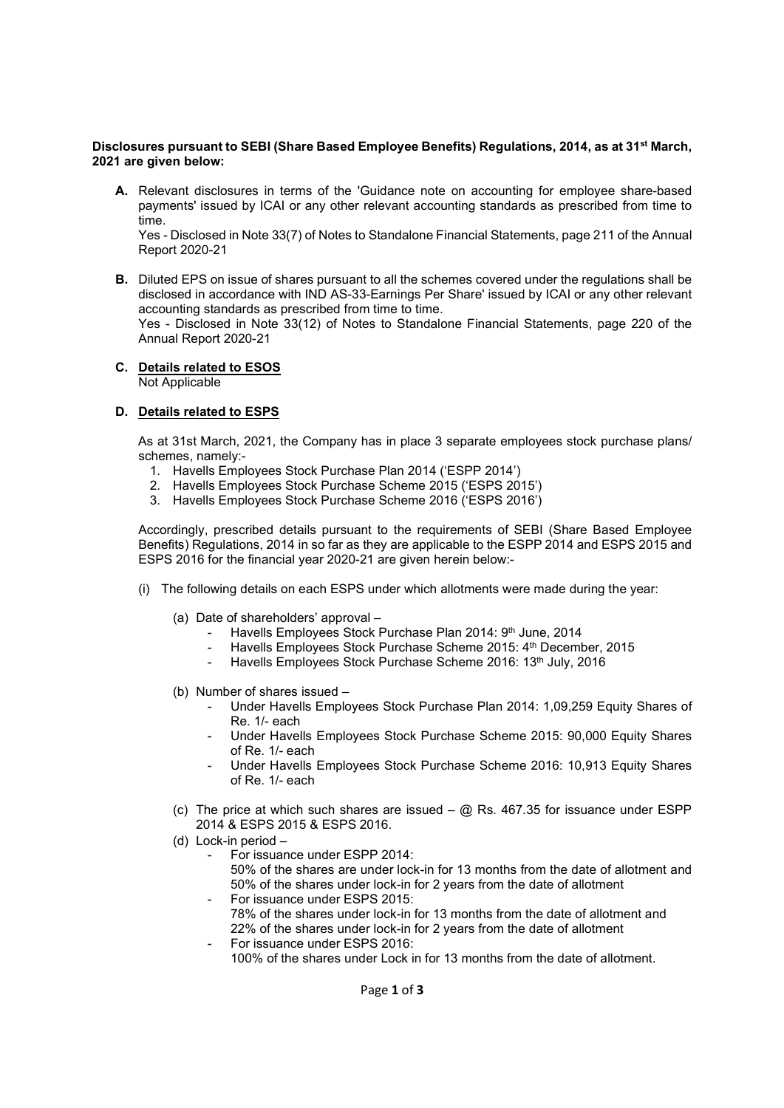### Disclosures pursuant to SEBI (Share Based Employee Benefits) Regulations, 2014, as at 31<sup>st</sup> March, 2021 are given below:

A. Relevant disclosures in terms of the 'Guidance note on accounting for employee share-based payments' issued by ICAI or any other relevant accounting standards as prescribed from time to time.

Yes - Disclosed in Note 33(7) of Notes to Standalone Financial Statements, page 211 of the Annual Report 2020-21

B. Diluted EPS on issue of shares pursuant to all the schemes covered under the regulations shall be disclosed in accordance with IND AS-33-Earnings Per Share' issued by ICAI or any other relevant accounting standards as prescribed from time to time. Yes - Disclosed in Note 33(12) of Notes to Standalone Financial Statements, page 220 of the Annual Report 2020-21

## C. Details related to ESOS

Not Applicable

### D. Details related to ESPS

 As at 31st March, 2021, the Company has in place 3 separate employees stock purchase plans/ schemes, namely:-

- 1. Havells Employees Stock Purchase Plan 2014 ('ESPP 2014')
- 2. Havells Employees Stock Purchase Scheme 2015 ('ESPS 2015')
- 3. Havells Employees Stock Purchase Scheme 2016 ('ESPS 2016')

Accordingly, prescribed details pursuant to the requirements of SEBI (Share Based Employee Benefits) Regulations, 2014 in so far as they are applicable to the ESPP 2014 and ESPS 2015 and ESPS 2016 for the financial year 2020-21 are given herein below:-

- (i) The following details on each ESPS under which allotments were made during the year:
	- (a) Date of shareholders' approval
		- Havells Employees Stock Purchase Plan 2014: 9th June, 2014
		- Havells Employees Stock Purchase Scheme 2015: 4th December, 2015
		- Havells Employees Stock Purchase Scheme 2016: 13th July, 2016
	- (b) Number of shares issued
		- Under Havells Employees Stock Purchase Plan 2014: 1,09,259 Equity Shares of Re. 1/- each
		- Under Havells Employees Stock Purchase Scheme 2015: 90,000 Equity Shares of Re. 1/- each
		- Under Havells Employees Stock Purchase Scheme 2016: 10,913 Equity Shares of Re. 1/- each
	- (c) The price at which such shares are issued  $@$  Rs. 467.35 for issuance under ESPP 2014 & ESPS 2015 & ESPS 2016.
	- (d) Lock-in period
		- For issuance under ESPP 2014:
			- 50% of the shares are under lock-in for 13 months from the date of allotment and 50% of the shares under lock-in for 2 years from the date of allotment For issuance under ESPS 2015:
		- 78% of the shares under lock-in for 13 months from the date of allotment and 22% of the shares under lock-in for 2 years from the date of allotment For issuance under ESPS 2016:
		- 100% of the shares under Lock in for 13 months from the date of allotment.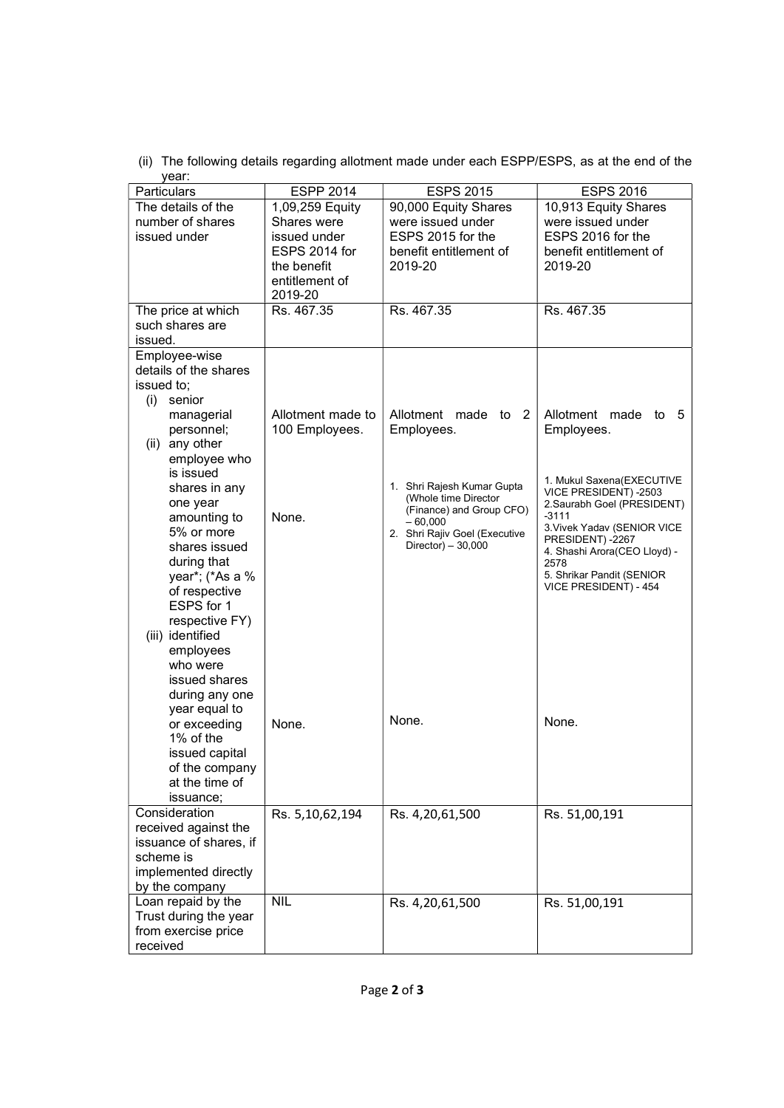(ii) The following details regarding allotment made under each ESPP/ESPS, as at the end of the year:

| Particulars                                            | <b>ESPP 2014</b>                                          | <b>ESPS 2015</b>                                               | <b>ESPS 2016</b>                                               |
|--------------------------------------------------------|-----------------------------------------------------------|----------------------------------------------------------------|----------------------------------------------------------------|
| The details of the<br>number of shares<br>issued under | 1,09,259 Equity<br>Shares were<br>issued under            | 90,000 Equity Shares<br>were issued under<br>ESPS 2015 for the | 10,913 Equity Shares<br>were issued under<br>ESPS 2016 for the |
|                                                        | ESPS 2014 for<br>the benefit<br>entitlement of<br>2019-20 | benefit entitlement of<br>2019-20                              | benefit entitlement of<br>2019-20                              |
| The price at which                                     | Rs. 467.35                                                | Rs. 467.35                                                     | Rs. 467.35                                                     |
| such shares are                                        |                                                           |                                                                |                                                                |
| issued.                                                |                                                           |                                                                |                                                                |
| Employee-wise                                          |                                                           |                                                                |                                                                |
| details of the shares                                  |                                                           |                                                                |                                                                |
| issued to;                                             |                                                           |                                                                |                                                                |
| (i)<br>senior                                          |                                                           |                                                                |                                                                |
| managerial                                             | Allotment made to                                         | Allotment made to 2                                            | Allotment made to<br>- 5                                       |
| personnel;                                             | 100 Employees.                                            | Employees.                                                     | Employees.                                                     |
| (ii) any other                                         |                                                           |                                                                |                                                                |
| employee who                                           |                                                           |                                                                |                                                                |
| is issued                                              |                                                           |                                                                |                                                                |
| shares in any                                          |                                                           | 1. Shri Rajesh Kumar Gupta                                     | 1. Mukul Saxena(EXECUTIVE<br>VICE PRESIDENT) -2503             |
| one year                                               |                                                           | (Whole time Director                                           | 2. Saurabh Goel (PRESIDENT)                                    |
| amounting to                                           | None.                                                     | (Finance) and Group CFO)<br>$-60,000$                          | $-3111$                                                        |
| 5% or more                                             |                                                           | 2. Shri Rajiv Goel (Executive                                  | 3. Vivek Yadav (SENIOR VICE                                    |
| shares issued                                          |                                                           | Director) $-30,000$                                            | PRESIDENT) -2267<br>4. Shashi Arora(CEO Lloyd) -               |
| during that                                            |                                                           |                                                                | 2578                                                           |
| year*; (*As a %                                        |                                                           |                                                                | 5. Shrikar Pandit (SENIOR                                      |
| of respective                                          |                                                           |                                                                | VICE PRESIDENT) - 454                                          |
| ESPS for 1                                             |                                                           |                                                                |                                                                |
| respective FY)                                         |                                                           |                                                                |                                                                |
| (iii) identified                                       |                                                           |                                                                |                                                                |
| employees                                              |                                                           |                                                                |                                                                |
| who were                                               |                                                           |                                                                |                                                                |
| issued shares                                          |                                                           |                                                                |                                                                |
| during any one                                         |                                                           |                                                                |                                                                |
| year equal to                                          |                                                           | None.                                                          | None.                                                          |
| or exceeding                                           | None.                                                     |                                                                |                                                                |
| 1% of the<br>issued capital                            |                                                           |                                                                |                                                                |
| of the company                                         |                                                           |                                                                |                                                                |
| at the time of                                         |                                                           |                                                                |                                                                |
| issuance;                                              |                                                           |                                                                |                                                                |
| Consideration                                          |                                                           |                                                                |                                                                |
| received against the                                   | Rs. 5,10,62,194                                           | Rs. 4,20,61,500                                                | Rs. 51,00,191                                                  |
| issuance of shares, if                                 |                                                           |                                                                |                                                                |
| scheme is                                              |                                                           |                                                                |                                                                |
| implemented directly                                   |                                                           |                                                                |                                                                |
| by the company                                         |                                                           |                                                                |                                                                |
| Loan repaid by the                                     | <b>NIL</b>                                                | Rs. 4,20,61,500                                                | Rs. 51,00,191                                                  |
| Trust during the year                                  |                                                           |                                                                |                                                                |
| from exercise price                                    |                                                           |                                                                |                                                                |
| received                                               |                                                           |                                                                |                                                                |